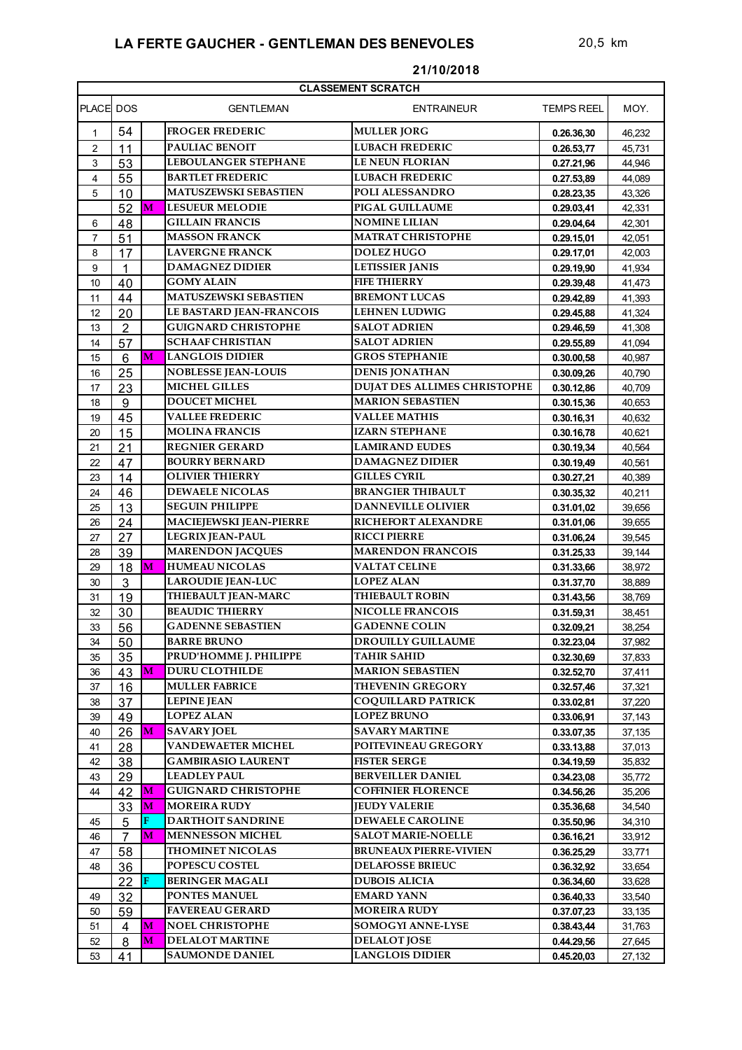| <b>CLASSEMENT SCRATCH</b> |                  |   |                                 |                                     |                   |        |  |  |
|---------------------------|------------------|---|---------------------------------|-------------------------------------|-------------------|--------|--|--|
| PLACE DOS                 |                  |   | <b>GENTLEMAN</b>                | <b>ENTRAINEUR</b>                   | <b>TEMPS REEL</b> | MOY.   |  |  |
| $\mathbf{1}$              | 54               |   | <b>FROGER FREDERIC</b>          | <b>MULLER JORG</b>                  | 0.26.36,30        | 46,232 |  |  |
| $\overline{2}$            | 11               |   | <b>PAULIAC BENOIT</b>           | <b>LUBACH FREDERIC</b>              | 0.26.53,77        | 45,731 |  |  |
| 3                         | 53               |   | <b>LEBOULANGER STEPHANE</b>     | <b>LE NEUN FLORIAN</b>              | 0.27.21,96        | 44.946 |  |  |
| 4                         | 55               |   | <b>BARTLET FREDERIC</b>         | <b>LUBACH FREDERIC</b>              | 0.27.53,89        | 44,089 |  |  |
| 5                         | 10               |   | <b>MATUSZEWSKI SEBASTIEN</b>    | POLI ALESSANDRO                     | 0.28.23,35        | 43,326 |  |  |
|                           | 52               | M | <b>LESUEUR MELODIE</b>          | <b>PIGAL GUILLAUME</b>              | 0.29.03,41        | 42,331 |  |  |
| 6                         | 48               |   | <b>GILLAIN FRANCIS</b>          | <b>NOMINE LILIAN</b>                | 0.29.04,64        | 42,301 |  |  |
| $\overline{7}$            | 51               |   | <b>MASSON FRANCK</b>            | <b>MATRAT CHRISTOPHE</b>            | 0.29.15,01        | 42,051 |  |  |
| 8                         | 17               |   | <b>LAVERGNE FRANCK</b>          | <b>DOLEZ HUGO</b>                   | 0.29.17,01        | 42,003 |  |  |
| 9                         | $\mathbf{1}$     |   | <b>DAMAGNEZ DIDIER</b>          | <b>LETISSIER JANIS</b>              | 0.29.19,90        | 41,934 |  |  |
| 10                        | 40               |   | <b>GOMY ALAIN</b>               | <b>FIFE THIERRY</b>                 | 0.29.39,48        | 41,473 |  |  |
| 11                        | 44               |   | <b>MATUSZEWSKI SEBASTIEN</b>    | <b>BREMONT LUCAS</b>                | 0.29.42,89        | 41,393 |  |  |
| 12                        | 20               |   | <b>LE BASTARD JEAN-FRANCOIS</b> | <b>LEHNEN LUDWIG</b>                | 0.29.45,88        | 41,324 |  |  |
| 13                        | $\overline{2}$   |   | <b>GUIGNARD CHRISTOPHE</b>      | <b>SALOT ADRIEN</b>                 | 0.29.46,59        | 41,308 |  |  |
| 14                        | 57               |   | <b>SCHAAF CHRISTIAN</b>         | <b>SALOT ADRIEN</b>                 | 0.29.55,89        | 41,094 |  |  |
| 15                        | $6\phantom{1}6$  | M | <b>LANGLOIS DIDIER</b>          | <b>GROS STEPHANIE</b>               | 0.30.00,58        | 40,987 |  |  |
| 16                        | 25               |   | <b>NOBLESSE JEAN-LOUIS</b>      | <b>DENIS JONATHAN</b>               | 0.30.09,26        | 40,790 |  |  |
| 17                        | 23               |   | <b>MICHEL GILLES</b>            | <b>DUJAT DES ALLIMES CHRISTOPHE</b> | 0.30.12,86        | 40,709 |  |  |
| 18                        | $\boldsymbol{9}$ |   | <b>DOUCET MICHEL</b>            | <b>MARION SEBASTIEN</b>             | 0.30.15,36        | 40,653 |  |  |
| 19                        | 45               |   | <b>VALLEE FREDERIC</b>          | <b>VALLEE MATHIS</b>                | 0.30.16,31        | 40,632 |  |  |
| 20                        | 15               |   | <b>MOLINA FRANCIS</b>           | IZARN STEPHANE                      | 0.30.16,78        | 40,621 |  |  |
| 21                        | 21               |   | <b>REGNIER GERARD</b>           | <b>LAMIRAND EUDES</b>               | 0.30.19,34        | 40,564 |  |  |
| 22                        | 47               |   | <b>BOURRY BERNARD</b>           | <b>DAMAGNEZ DIDIER</b>              | 0.30.19,49        | 40,561 |  |  |
| 23                        | 14               |   | <b>OLIVIER THIERRY</b>          | <b>GILLES CYRIL</b>                 | 0.30.27,21        | 40,389 |  |  |
| 24                        | 46               |   | <b>DEWAELE NICOLAS</b>          | <b>BRANGIER THIBAULT</b>            | 0.30.35,32        | 40,211 |  |  |
| 25                        | 13               |   | <b>SEGUIN PHILIPPE</b>          | <b>DANNEVILLE OLIVIER</b>           | 0.31.01,02        | 39,656 |  |  |
| 26                        | 24               |   | <b>MACIEJEWSKI JEAN-PIERRE</b>  | <b>RICHEFORT ALEXANDRE</b>          | 0.31.01,06        | 39,655 |  |  |
| 27                        | 27               |   | <b>LEGRIX JEAN-PAUL</b>         | <b>RICCI PIERRE</b>                 | 0.31.06,24        | 39,545 |  |  |
| 28                        | 39               |   | <b>MARENDON JACQUES</b>         | <b>MARENDON FRANCOIS</b>            | 0.31.25,33        | 39,144 |  |  |
| 29                        | 18               | M | <b>HUMEAU NICOLAS</b>           | <b>VALTAT CELINE</b>                | 0.31.33,66        | 38,972 |  |  |
| 30                        | 3                |   | <b>LAROUDIE JEAN-LUC</b>        | <b>LOPEZ ALAN</b>                   | 0.31.37,70        | 38,889 |  |  |
| 31                        | 19               |   | <b>THIEBAULT JEAN-MARC</b>      | <b>THIEBAULT ROBIN</b>              | 0.31.43,56        | 38,769 |  |  |
| 32                        | 30               |   | <b>BEAUDIC THIERRY</b>          | <b>NICOLLE FRANCOIS</b>             | 0.31.59,31        | 38,451 |  |  |
| 33                        | 56               |   | <b>GADENNE SEBASTIEN</b>        | <b>GADENNE COLIN</b>                | 0.32.09,21        | 38,254 |  |  |
| $34\,$                    | 50               |   | <b>BARRE BRUNO</b>              | <b>DROUILLY GUILLAUME</b>           | 0.32.23,04        | 37,982 |  |  |
| 35                        | 35               |   | PRUD'HOMME J. PHILIPPE          | <b>TAHIR SAHID</b>                  | 0.32.30,69        | 37,833 |  |  |
| 36                        | 43               | M | <b>DURU CLOTHILDE</b>           | <b>MARION SEBASTIEN</b>             | 0.32.52,70        | 37,411 |  |  |
| 37                        | 16               |   | <b>MULLER FABRICE</b>           | <b>THEVENIN GREGORY</b>             | 0.32.57,46        | 37,321 |  |  |
| 38                        | 37               |   | <b>LEPINE JEAN</b>              | <b>COOUILLARD PATRICK</b>           | 0.33.02,81        | 37,220 |  |  |
| 39                        | 49               |   | <b>LOPEZ ALAN</b>               | <b>LOPEZ BRUNO</b>                  | 0.33.06,91        | 37,143 |  |  |
| 40                        | 26               | M | <b>SAVARY JOEL</b>              | SAVARY MARTINE                      | 0.33.07,35        | 37,135 |  |  |
| 41                        | 28               |   | <b>VANDEWAETER MICHEL</b>       | POITEVINEAU GREGORY                 | 0.33.13,88        | 37,013 |  |  |
| 42                        | 38               |   | <b>GAMBIRASIO LAURENT</b>       | <b>FISTER SERGE</b>                 | 0.34.19,59        | 35,832 |  |  |
| 43                        | 29               |   | <b>LEADLEY PAUL</b>             | <b>BERVEILLER DANIEL</b>            | 0.34.23,08        | 35,772 |  |  |
| 44                        | 42               | M | <b>GUIGNARD CHRISTOPHE</b>      | <b>COFFINIER FLORENCE</b>           | 0.34.56,26        | 35,206 |  |  |
|                           | 33               | M | <b>MOREIRA RUDY</b>             | <b>JEUDY VALERIE</b>                | 0.35.36,68        | 34,540 |  |  |
| 45                        | 5                | F | <b>DARTHOIT SANDRINE</b>        | <b>DEWAELE CAROLINE</b>             | 0.35.50,96        | 34,310 |  |  |
| 46                        | $\overline{7}$   | М | <b>MENNESSON MICHEL</b>         | <b>SALOT MARIE-NOELLE</b>           | 0.36.16,21        | 33,912 |  |  |
| 47                        | 58               |   | <b>THOMINET NICOLAS</b>         | <b>BRUNEAUX PIERRE-VIVIEN</b>       | 0.36.25,29        | 33,771 |  |  |
| 48                        | 36               |   | <b>POPESCU COSTEL</b>           | <b>DELAFOSSE BRIEUC</b>             | 0.36.32,92        | 33,654 |  |  |
|                           | 22               | F | <b>BERINGER MAGALI</b>          | <b>DUBOIS ALICIA</b>                | 0.36.34,60        | 33,628 |  |  |
| 49                        | 32               |   | PONTES MANUEL                   | <b>EMARD YANN</b>                   | 0.36.40,33        | 33,540 |  |  |
| 50                        | 59               |   | <b>FAVEREAU GERARD</b>          | <b>MOREIRA RUDY</b>                 | 0.37.07,23        | 33,135 |  |  |
| 51                        | 4                | М | <b>NOEL CHRISTOPHE</b>          | <b>SOMOGYI ANNE-LYSE</b>            | 0.38.43,44        | 31,763 |  |  |
| 52                        | 8                | М | <b>DELALOT MARTINE</b>          | <b>DELALOT JOSE</b>                 | 0.44.29,56        | 27,645 |  |  |
| 53                        | 41               |   | <b>SAUMONDE DANIEL</b>          | <b>LANGLOIS DIDIER</b>              | 0.45.20,03        | 27,132 |  |  |

## **21/10/2018**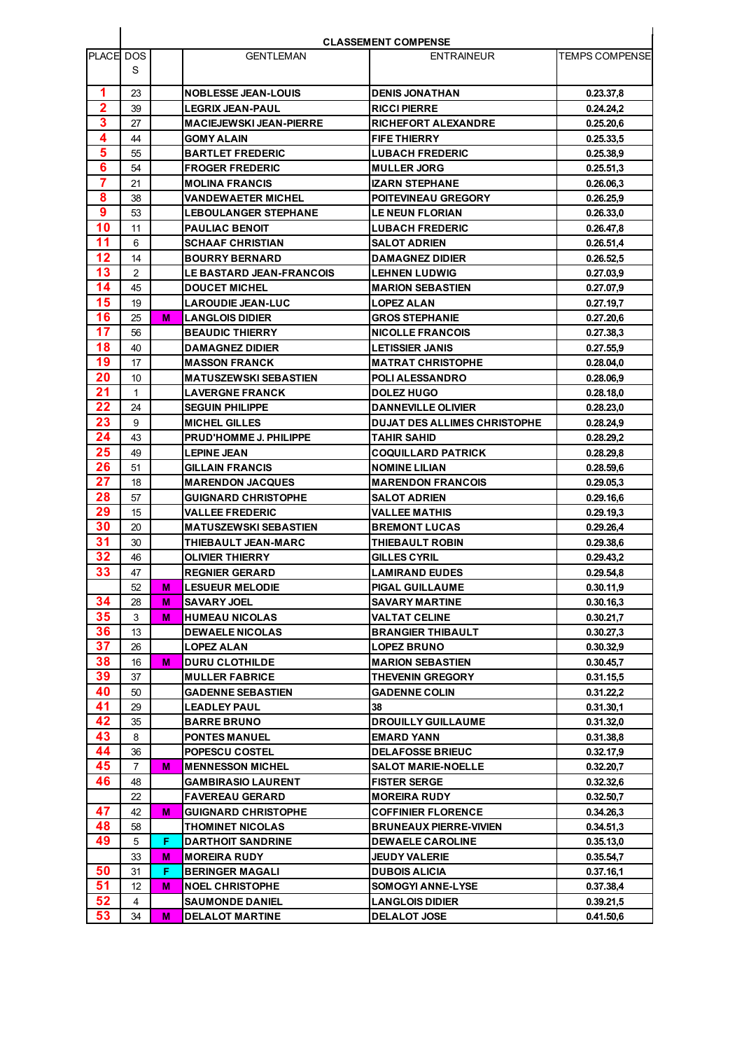| <b>CLASSEMENT COMPENSE</b> |    |    |                                 |                                     |                 |  |
|----------------------------|----|----|---------------------------------|-------------------------------------|-----------------|--|
| PLACE DOS                  |    |    | <b>GENTLEMAN</b>                | <b>ENTRAINEUR</b>                   | TEMPS COMPENSEI |  |
|                            | S  |    |                                 |                                     |                 |  |
| 1                          | 23 |    | <b>NOBLESSE JEAN-LOUIS</b>      | <b>DENIS JONATHAN</b>               | 0.23.37,8       |  |
| $\mathbf{2}$               | 39 |    | LEGRIX JEAN-PAUL                | <b>RICCI PIERRE</b>                 | 0.24.24,2       |  |
| 3                          | 27 |    | <b>MACIEJEWSKI JEAN-PIERRE</b>  | <b>RICHEFORT ALEXANDRE</b>          | 0.25.20,6       |  |
| 4                          | 44 |    | <b>GOMY ALAIN</b>               | <b>FIFE THIERRY</b>                 | 0.25.33,5       |  |
| 5                          | 55 |    | <b>BARTLET FREDERIC</b>         | <b>LUBACH FREDERIC</b>              | 0.25.38,9       |  |
| 6                          | 54 |    | <b>FROGER FREDERIC</b>          | <b>MULLER JORG</b>                  | 0.25.51.3       |  |
| $\overline{7}$             | 21 |    | <b>MOLINA FRANCIS</b>           | <b>IZARN STEPHANE</b>               | 0.26.06,3       |  |
| 8                          | 38 |    | VANDEWAETER MICHEL              | POITEVINEAU GREGORY                 | 0.26.25,9       |  |
| 9                          | 53 |    | <b>LEBOULANGER STEPHANE</b>     | <b>LE NEUN FLORIAN</b>              | 0.26.33.0       |  |
| 10                         | 11 |    | <b>PAULIAC BENOIT</b>           | <b>LUBACH FREDERIC</b>              | 0.26.47,8       |  |
| 11                         | 6  |    | <b>SCHAAF CHRISTIAN</b>         | <b>SALOT ADRIEN</b>                 | 0.26.51,4       |  |
| 12                         | 14 |    | <b>BOURRY BERNARD</b>           | <b>DAMAGNEZ DIDIER</b>              | 0.26.52,5       |  |
| 13                         | 2  |    | <b>LE BASTARD JEAN-FRANCOIS</b> | <b>LEHNEN LUDWIG</b>                | 0.27.03,9       |  |
| 14                         | 45 |    | <b>DOUCET MICHEL</b>            | <b>MARION SEBASTIEN</b>             | 0.27.07,9       |  |
| 15                         | 19 |    | <b>LAROUDIE JEAN-LUC</b>        | <b>LOPEZ ALAN</b>                   | 0.27.19,7       |  |
| 16                         | 25 | м  | <b>LANGLOIS DIDIER</b>          | <b>GROS STEPHANIE</b>               | 0.27.20,6       |  |
| 17                         | 56 |    | <b>BEAUDIC THIERRY</b>          | <b>NICOLLE FRANCOIS</b>             | 0.27.38.3       |  |
| 18                         | 40 |    | <b>DAMAGNEZ DIDIER</b>          | <b>LETISSIER JANIS</b>              | 0.27.55.9       |  |
| 19                         | 17 |    | <b>MASSON FRANCK</b>            | <b>MATRAT CHRISTOPHE</b>            | 0.28.04,0       |  |
| 20                         | 10 |    | <b>MATUSZEWSKI SEBASTIEN</b>    | POLI ALESSANDRO                     | 0.28.06,9       |  |
| 21                         | 1  |    | <b>LAVERGNE FRANCK</b>          | <b>DOLEZ HUGO</b>                   | 0.28.18,0       |  |
| 22                         | 24 |    | <b>SEGUIN PHILIPPE</b>          | <b>DANNEVILLE OLIVIER</b>           | 0.28.23,0       |  |
| 23                         | 9  |    | <b>MICHEL GILLES</b>            | <b>DUJAT DES ALLIMES CHRISTOPHE</b> | 0.28.24,9       |  |
| 24                         | 43 |    | <b>PRUD'HOMME J. PHILIPPE</b>   | <b>TAHIR SAHID</b>                  | 0.28.29,2       |  |
| 25                         | 49 |    | LEPINE JEAN                     | <b>COQUILLARD PATRICK</b>           | 0.28.29,8       |  |
| 26                         | 51 |    | <b>GILLAIN FRANCIS</b>          | <b>NOMINE LILIAN</b>                | 0.28.59,6       |  |
| 27                         | 18 |    | <b>MARENDON JACQUES</b>         | <b>MARENDON FRANCOIS</b>            | 0.29.05,3       |  |
| 28                         | 57 |    | <b>GUIGNARD CHRISTOPHE</b>      | <b>SALOT ADRIEN</b>                 | 0.29.16,6       |  |
| 29                         | 15 |    | <b>VALLEE FREDERIC</b>          | <b>VALLEE MATHIS</b>                | 0.29.19,3       |  |
| 30                         | 20 |    | <b>MATUSZEWSKI SEBASTIEN</b>    | <b>BREMONT LUCAS</b>                | 0.29.26,4       |  |
| 31                         | 30 |    | THIEBAULT JEAN-MARC             | THIEBAULT ROBIN                     | 0.29.38,6       |  |
| 32                         | 46 |    | OLIVIER THIERRY                 | GILLES CYRIL                        | 0.29.43,2       |  |
| 33                         | 47 |    | <b>REGNIER GERARD</b>           | <b>LAMIRAND EUDES</b>               | 0.29.54,8       |  |
|                            | 52 | м  | <b>LESUEUR MELODIE</b>          | <b>PIGAL GUILLAUME</b>              | 0.30.11.9       |  |
| 34                         | 28 | M  | <b>SAVARY JOEL</b>              | <b>SAVARY MARTINE</b>               | 0.30.16,3       |  |
| 35                         | 3  | м  | HUMEAU NICOLAS                  | <b>VALTAT CELINE</b>                | 0.30.21,7       |  |
| 36                         | 13 |    | <b>DEWAELE NICOLAS</b>          | BRANGIER THIBAULT                   | 0.30.27,3       |  |
| 37                         | 26 |    | <b>LOPEZ ALAN</b>               | <b>LOPEZ BRUNO</b>                  | 0.30.32,9       |  |
| 38                         | 16 | М  | <b>DURU CLOTHILDE</b>           | <b>MARION SEBASTIEN</b>             | 0.30.45,7       |  |
| 39                         | 37 |    | <b>MULLER FABRICE</b>           | <b>THEVENIN GREGORY</b>             | 0.31.15,5       |  |
| 40                         | 50 |    | <b>GADENNE SEBASTIEN</b>        | <b>GADENNE COLIN</b>                | 0.31.22,2       |  |
| 41                         | 29 |    | <b>LEADLEY PAUL</b>             | 38                                  | 0.31.30,1       |  |
| 42                         | 35 |    | <b>BARRE BRUNO</b>              | DROUILLY GUILLAUME                  | 0.31.32,0       |  |
| 43                         | 8  |    | <b>PONTES MANUEL</b>            | <b>EMARD YANN</b>                   | 0.31.38,8       |  |
| 44                         | 36 |    | <b>POPESCU COSTEL</b>           | <b>DELAFOSSE BRIEUC</b>             | 0.32.17.9       |  |
| 45                         | 7  | М  | <b>MENNESSON MICHEL</b>         | <b>SALOT MARIE-NOELLE</b>           | 0.32.20,7       |  |
| 46                         | 48 |    | <b>GAMBIRASIO LAURENT</b>       | <b>FISTER SERGE</b>                 | 0.32.32,6       |  |
|                            | 22 |    | <b>FAVEREAU GERARD</b>          | <b>MOREIRA RUDY</b>                 | 0.32.50,7       |  |
| 47                         | 42 | М  | GUIGNARD CHRISTOPHE             | <b>COFFINIER FLORENCE</b>           | 0.34.26,3       |  |
| 48                         | 58 |    | <b>THOMINET NICOLAS</b>         | <b>BRUNEAUX PIERRE-VIVIEN</b>       | 0.34.51,3       |  |
| 49                         | 5  | F  | <b>DARTHOIT SANDRINE</b>        | <b>DEWAELE CAROLINE</b>             | 0.35.13,0       |  |
|                            | 33 | М  | <b>MOREIRA RUDY</b>             | JEUDY VALERIE                       | 0.35.54,7       |  |
| 50                         | 31 | F. | <b>BERINGER MAGALI</b>          | <b>DUBOIS ALICIA</b>                | 0.37.16,1       |  |
| 51                         | 12 | М  | <b>NOEL CHRISTOPHE</b>          | <b>SOMOGYI ANNE-LYSE</b>            | 0.37.38,4       |  |
| 52                         | 4  |    | <b>SAUMONDE DANIEL</b>          | <b>LANGLOIS DIDIER</b>              | 0.39.21,5       |  |
| 53                         | 34 | M  | <b>DELALOT MARTINE</b>          | <b>DELALOT JOSE</b>                 | 0.41.50,6       |  |
|                            |    |    |                                 |                                     |                 |  |